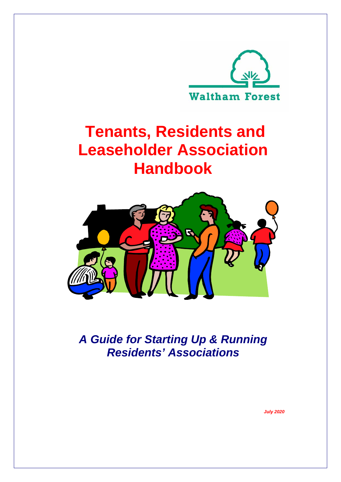

# **Tenants, Residents and Leaseholder Association Handbook**



*A Guide for Starting Up & Running Residents' Associations*

*July 2020*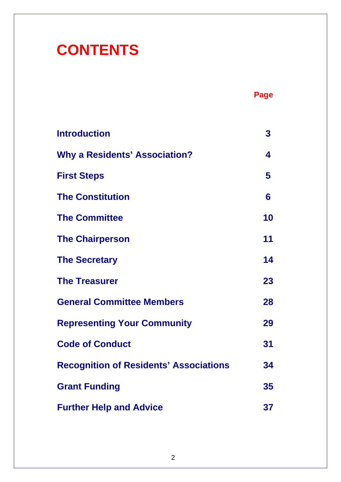# **CONTENTS**

|--|--|

| <b>Introduction</b>                           | 3  |
|-----------------------------------------------|----|
| <b>Why a Residents' Association?</b>          | 4  |
| <b>First Steps</b>                            | 5  |
| <b>The Constitution</b>                       | 6  |
| <b>The Committee</b>                          | 10 |
| <b>The Chairperson</b>                        | 11 |
| <b>The Secretary</b>                          | 14 |
| <b>The Treasurer</b>                          | 23 |
| <b>General Committee Members</b>              | 28 |
| <b>Representing Your Community</b>            | 29 |
| <b>Code of Conduct</b>                        | 31 |
| <b>Recognition of Residents' Associations</b> | 34 |
| <b>Grant Funding</b>                          | 35 |
| <b>Further Help and Advice</b>                | 37 |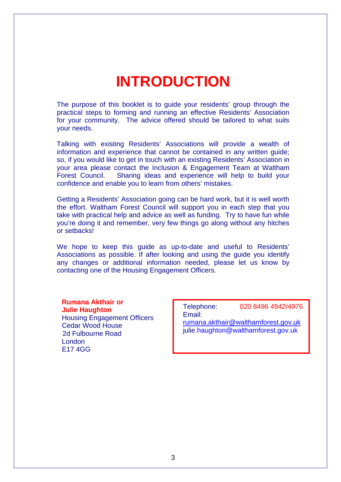## **INTRODUCTION**

The purpose of this booklet is to guide your residents' group through the practical steps to forming and running an effective Residents' Association for your community. The advice offered should be tailored to what suits your needs.

Talking with existing Residents' Associations will provide a wealth of information and experience that cannot be contained in any written guide; so, if you would like to get in touch with an existing Residents' Association in your area please contact the Inclusion & Engagement Team at Waltham Forest Council. Sharing ideas and experience will help to build your confidence and enable you to learn from others' mistakes.

Getting a Residents' Association going can be hard work, but it is well worth the effort. Waltham Forest Council will support you in each step that you take with practical help and advice as well as funding. Try to have fun while you're doing it and remember, very few things go along without any hitches or setbacks!

We hope to keep this guide as up-to-date and useful to Residents' Associations as possible. If after looking and using the guide you identify any changes or additional information needed, please let us know by contacting one of the Housing Engagement Officers.

#### **Rumana Akthair or Julie Haughton** Housing Engagement Officers Cedar Wood House 2d Fulbourne Road London

E17 4GG

Telephone: 020 8496 4942/4976 Email: [rumana.akthair@walthamforest.gov.uk](mailto:rumana.akthair@walthamforest.gov.uk) julie.haughton@walthamforest.gov.uk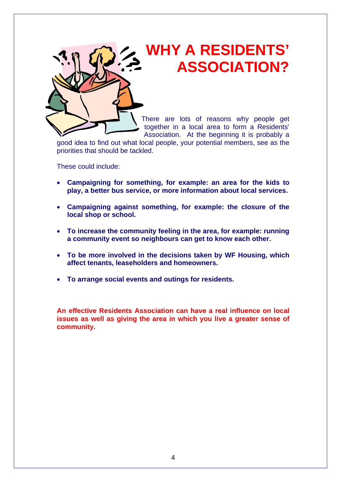## **WHY A RESIDENTS' ASSOCIATION?**



good idea to find out what local people, your potential members, see as the priorities that should be tackled.

These could include:

- **Campaigning for something, for example: an area for the kids to play, a better bus service, or more information about local services.**
- **Campaigning against something, for example: the closure of the local shop or school.**
- **To increase the community feeling in the area, for example: running a community event so neighbours can get to know each other.**
- **To be more involved in the decisions taken by WF Housing, which affect tenants, leaseholders and homeowners.**
- **To arrange social events and outings for residents.**

**An effective Residents Association can have a real influence on local issues as well as giving the area in which you live a greater sense of community.**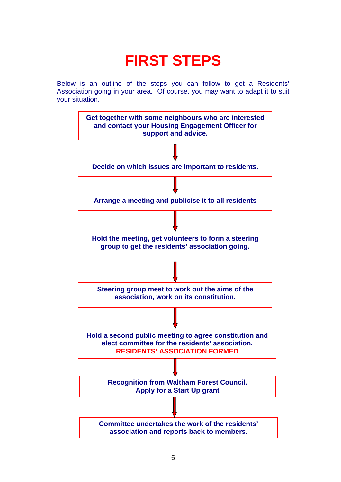# **FIRST STEPS**

Below is an outline of the steps you can follow to get a Residents' Association going in your area. Of course, you may want to adapt it to suit your situation.

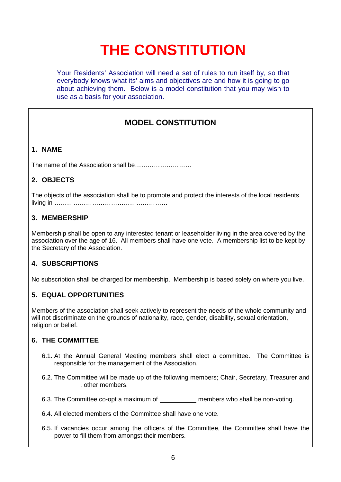# **THE CONSTITUTION**

Your Residents' Association will need a set of rules to run itself by, so that everybody knows what its' aims and objectives are and how it is going to go about achieving them. Below is a model constitution that you may wish to use as a basis for your association.

## **MODEL CONSTITUTION**

## **1. NAME**

The name of the Association shall be………………………

## **2. OBJECTS**

The objects of the association shall be to promote and protect the interests of the local residents living in ………………………………………………

## **3. MEMBERSHIP**

Membership shall be open to any interested tenant or leaseholder living in the area covered by the association over the age of 16. All members shall have one vote. A membership list to be kept by the Secretary of the Association.

## **4. SUBSCRIPTIONS**

No subscription shall be charged for membership. Membership is based solely on where you live.

## **5. EQUAL OPPORTUNITIES**

Members of the association shall seek actively to represent the needs of the whole community and will not discriminate on the grounds of nationality, race, gender, disability, sexual orientation, religion or belief.

## **6. THE COMMITTEE**

- 6.1. At the Annual General Meeting members shall elect a committee. The Committee is responsible for the management of the Association.
- 6.2. The Committee will be made up of the following members; Chair, Secretary, Treasurer and **LECTE**, other members.
- 6.3. The Committee co-opt a maximum of members who shall be non-voting.
- 6.4. All elected members of the Committee shall have one vote.
- 6.5. If vacancies occur among the officers of the Committee, the Committee shall have the power to fill them from amongst their members.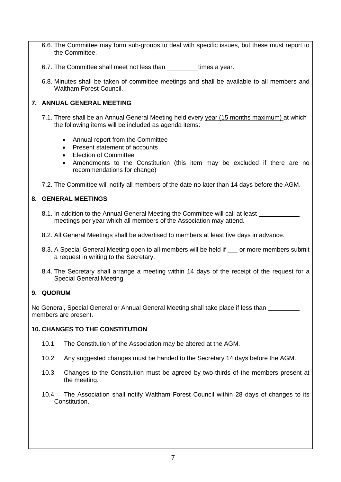- 6.6. The Committee may form sub-groups to deal with specific issues, but these must report to the Committee.
- 6.7. The Committee shall meet not less than times a year.
- 6.8. Minutes shall be taken of committee meetings and shall be available to all members and Waltham Forest Council.

### **7. ANNUAL GENERAL MEETING**

- 7.1. There shall be an Annual General Meeting held every year (15 months maximum) at which the following items will be included as agenda items:
	- Annual report from the Committee
	- Present statement of accounts
	- Flection of Committee
	- Amendments to the Constitution (this item may be excluded if there are no recommendations for change)

7.2. The Committee will notify all members of the date no later than 14 days before the AGM.

### **8. GENERAL MEETINGS**

- 8.1. In addition to the Annual General Meeting the Committee will call at least meetings per year which all members of the Association may attend.
- 8.2. All General Meetings shall be advertised to members at least five days in advance.
- 8.3. A Special General Meeting open to all members will be held if or more members submit a request in writing to the Secretary.
- 8.4. The Secretary shall arrange a meeting within 14 days of the receipt of the request for a Special General Meeting.

#### **9. QUORUM**

No General, Special General or Annual General Meeting shall take place if less than members are present.

### **10. CHANGES TO THE CONSTITUTION**

- 10.1. The Constitution of the Association may be altered at the AGM.
- 10.2. Any suggested changes must be handed to the Secretary 14 days before the AGM.
- 10.3. Changes to the Constitution must be agreed by two-thirds of the members present at the meeting.
- 10.4. The Association shall notify Waltham Forest Council within 28 days of changes to its Constitution.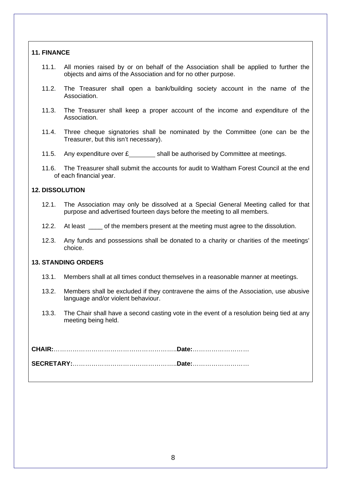#### **11. FINANCE**

- 11.1. All monies raised by or on behalf of the Association shall be applied to further the objects and aims of the Association and for no other purpose.
- 11.2. The Treasurer shall open a bank/building society account in the name of the Association.
- 11.3. The Treasurer shall keep a proper account of the income and expenditure of the Association.
- 11.4. Three cheque signatories shall be nominated by the Committee (one can be the Treasurer, but this isn't necessary).
- 11.5. Any expenditure over  $E$  shall be authorised by Committee at meetings.
- 11.6. The Treasurer shall submit the accounts for audit to Waltham Forest Council at the end of each financial year.

#### **12. DISSOLUTION**

- 12.1. The Association may only be dissolved at a Special General Meeting called for that purpose and advertised fourteen days before the meeting to all members.
- 12.2. At least of the members present at the meeting must agree to the dissolution.
- 12.3. Any funds and possessions shall be donated to a charity or charities of the meetings' choice.

#### **13. STANDING ORDERS**

- 13.1. Members shall at all times conduct themselves in a reasonable manner at meetings.
- 13.2. Members shall be excluded if they contravene the aims of the Association, use abusive language and/or violent behaviour.
- 13.3. The Chair shall have a second casting vote in the event of a resolution being tied at any meeting being held.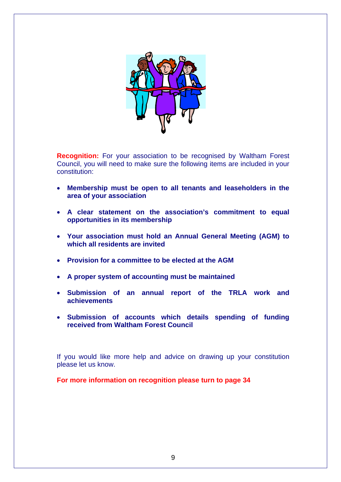

**Recognition:** For your association to be recognised by Waltham Forest Council, you will need to make sure the following items are included in your constitution:

- **Membership must be open to all tenants and leaseholders in the area of your association**
- **A clear statement on the association's commitment to equal opportunities in its membership**
- **Your association must hold an Annual General Meeting (AGM) to which all residents are invited**
- **Provision for a committee to be elected at the AGM**
- **A proper system of accounting must be maintained**
- **Submission of an annual report of the TRLA work and achievements**
- **Submission of accounts which details spending of funding received from Waltham Forest Council**

If you would like more help and advice on drawing up your constitution please let us know.

**For more information on recognition please turn to page 34**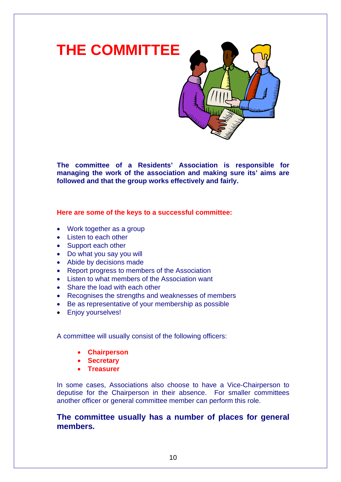

**The committee of a Residents' Association is responsible for managing the work of the association and making sure its' aims are followed and that the group works effectively and fairly.**

**Here are some of the keys to a successful committee:**

- Work together as a group
- Listen to each other
- Support each other
- Do what you say you will
- Abide by decisions made
- Report progress to members of the Association
- Listen to what members of the Association want
- Share the load with each other
- Recognises the strengths and weaknesses of members
- Be as representative of your membership as possible
- Enjoy yourselves!

A committee will usually consist of the following officers:

- **Chairperson**
- **Secretary**
- **Treasurer**

In some cases, Associations also choose to have a Vice-Chairperson to deputise for the Chairperson in their absence. For smaller committees another officer or general committee member can perform this role.

**The committee usually has a number of places for general members.**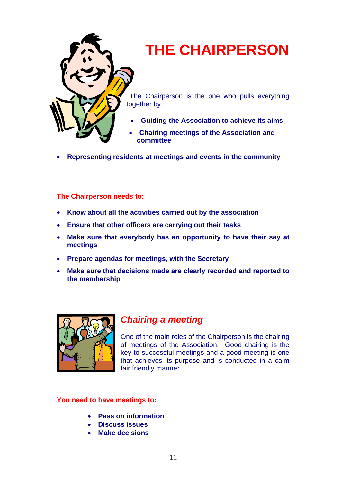

## **THE CHAIRPERSON**

The Chairperson is the one who pulls everything together by:

- **Guiding the Association to achieve its aims**
- **Chairing meetings of the Association and committee**
- **Representing residents at meetings and events in the community**

## **The Chairperson needs to:**

- **Know about all the activities carried out by the association**
- **Ensure that other officers are carrying out their tasks**
- **Make sure that everybody has an opportunity to have their say at meetings**
- **Prepare agendas for meetings, with the Secretary**
- **Make sure that decisions made are clearly recorded and reported to the membership**



## *Chairing a meeting*

One of the main roles of the Chairperson is the chairing of meetings of the Association. Good chairing is the key to successful meetings and a good meeting is one that achieves its purpose and is conducted in a calm fair friendly manner.

## **You need to have meetings to:**

- **Pass on information**
- **Discuss issues**
- **Make decisions**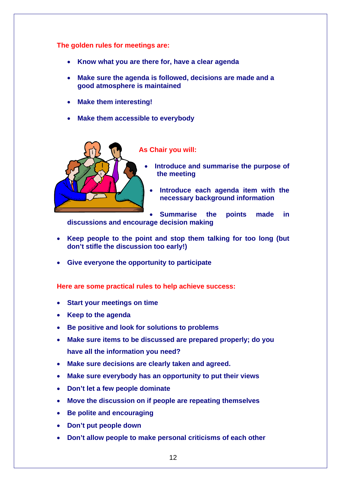**The golden rules for meetings are:**

- **Know what you are there for, have a clear agenda**
- **Make sure the agenda is followed, decisions are made and a good atmosphere is maintained**
- **Make them interesting!**
- **Make them accessible to everybody**



**As Chair you will:**

- **Introduce and summarise the purpose of the meeting**
- **Introduce each agenda item with the necessary background information**

• **Summarise the points made in discussions and encourage decision making**

- **Keep people to the point and stop them talking for too long (but don't stifle the discussion too early!)**
- **Give everyone the opportunity to participate**

**Here are some practical rules to help achieve success:**

- **Start your meetings on time**
- **Keep to the agenda**
- **Be positive and look for solutions to problems**
- **Make sure items to be discussed are prepared properly; do you have all the information you need?**
- **Make sure decisions are clearly taken and agreed.**
- **Make sure everybody has an opportunity to put their views**
- **Don't let a few people dominate**
- **Move the discussion on if people are repeating themselves**
- **Be polite and encouraging**
- **Don't put people down**
- **Don't allow people to make personal criticisms of each other**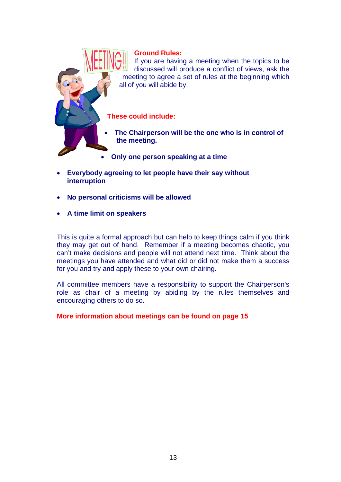### **Ground Rules:**

If you are having a meeting when the topics to be discussed will produce a conflict of views, ask the meeting to agree a set of rules at the beginning which all of you will abide by.

**These could include:**

- **The Chairperson will be the one who is in control of the meeting.**
- **Only one person speaking at a time**
- **Everybody agreeing to let people have their say without interruption**
- **No personal criticisms will be allowed**
- **A time limit on speakers**

This is quite a formal approach but can help to keep things calm if you think they may get out of hand. Remember if a meeting becomes chaotic, you can't make decisions and people will not attend next time. Think about the meetings you have attended and what did or did not make them a success for you and try and apply these to your own chairing.

All committee members have a responsibility to support the Chairperson's role as chair of a meeting by abiding by the rules themselves and encouraging others to do so.

### **More information about meetings can be found on page 15**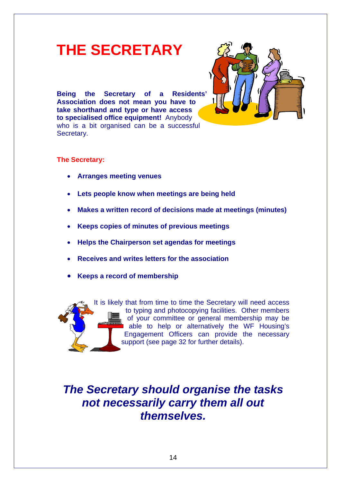## **THE SECRETARY**

**Being the Secretary of a Residents' Association does not mean you have to take shorthand and type or have access to specialised office equipment!** Anybody who is a bit organised can be a successful Secretary.



## **The Secretary:**

- **Arranges meeting venues**
- **Lets people know when meetings are being held**
- **Makes a written record of decisions made at meetings (minutes)**
- **Keeps copies of minutes of previous meetings**
- **Helps the Chairperson set agendas for meetings**
- **Receives and writes letters for the association**
- **Keeps a record of membership**



It is likely that from time to time the Secretary will need access to typing and photocopying facilities. Other members of your committee or general membership may be able to help or alternatively the WF Housing's Engagement Officers can provide the necessary support (see page 32 for further details).

## *The Secretary should organise the tasks not necessarily carry them all out themselves.*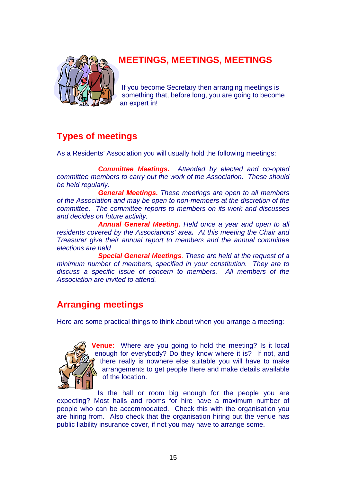

## **MEETINGS, MEETINGS, MEETINGS**

If you become Secretary then arranging meetings is something that, before long, you are going to become an expert in!

## **Types of meetings**

As a Residents' Association you will usually hold the following meetings:

*Committee Meetings. Attended by elected and co-opted committee members to carry out the work of the Association. These should be held regularly.*

*General Meetings. These meetings are open to all members of the Association and may be open to non-members at the discretion of the committee. The committee reports to members on its work and discusses and decides on future activity.*

*Annual General Meeting. Held once a year and open to all residents covered by the Associations' area. At this meeting the Chair and Treasurer give their annual report to members and the annual committee elections are held*

*Special General Meetings. These are held at the request of a minimum number of members, specified in your constitution. They are to discuss a specific issue of concern to members. All members of the Association are invited to attend.*

## **Arranging meetings**

Here are some practical things to think about when you arrange a meeting:



**Venue:** Where are you going to hold the meeting? Is it local enough for everybody? Do they know where it is? If not, and there really is nowhere else suitable you will have to make arrangements to get people there and make details available of the location.

Is the hall or room big enough for the people you are expecting? Most halls and rooms for hire have a maximum number of people who can be accommodated. Check this with the organisation you are hiring from. Also check that the organisation hiring out the venue has public liability insurance cover, if not you may have to arrange some.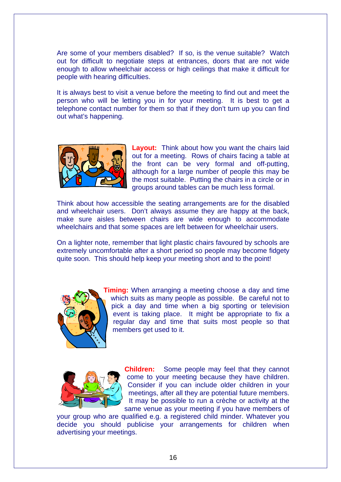Are some of your members disabled? If so, is the venue suitable? Watch out for difficult to negotiate steps at entrances, doors that are not wide enough to allow wheelchair access or high ceilings that make it difficult for people with hearing difficulties.

It is always best to visit a venue before the meeting to find out and meet the person who will be letting you in for your meeting. It is best to get a telephone contact number for them so that if they don't turn up you can find out what's happening.



**Layout:** Think about how you want the chairs laid out for a meeting. Rows of chairs facing a table at the front can be very formal and off-putting, although for a large number of people this may be the most suitable. Putting the chairs in a circle or in groups around tables can be much less formal.

Think about how accessible the seating arrangements are for the disabled and wheelchair users. Don't always assume they are happy at the back, make sure aisles between chairs are wide enough to accommodate wheelchairs and that some spaces are left between for wheelchair users.

On a lighter note, remember that light plastic chairs favoured by schools are extremely uncomfortable after a short period so people may become fidgety quite soon. This should help keep your meeting short and to the point!



**Timing:** When arranging a meeting choose a day and time which suits as many people as possible. Be careful not to pick a day and time when a big sporting or television event is taking place. It might be appropriate to fix a regular day and time that suits most people so that members get used to it.



**Children:** Some people may feel that they cannot come to your meeting because they have children. Consider if you can include older children in your meetings, after all they are potential future members. It may be possible to run a crèche or activity at the same venue as your meeting if you have members of

your group who are qualified e.g. a registered child minder. Whatever you decide you should publicise your arrangements for children when advertising your meetings.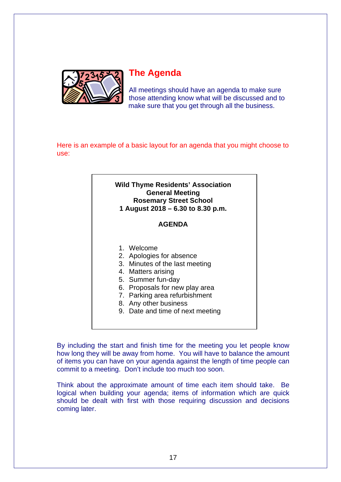

## **The Agenda**

All meetings should have an agenda to make sure those attending know what will be discussed and to make sure that you get through all the business.

Here is an example of a basic layout for an agenda that you might choose to use:



By including the start and finish time for the meeting you let people know how long they will be away from home. You will have to balance the amount of items you can have on your agenda against the length of time people can commit to a meeting. Don't include too much too soon.

Think about the approximate amount of time each item should take. Be logical when building your agenda; items of information which are quick should be dealt with first with those requiring discussion and decisions coming later.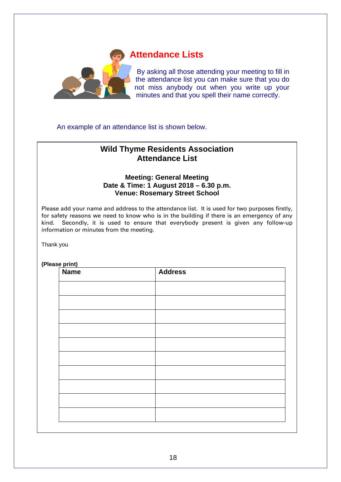

## **Attendance Lists**

By asking all those attending your meeting to fill in the attendance list you can make sure that you do not miss anybody out when you write up your minutes and that you spell their name correctly.

An example of an attendance list is shown below.

## **Wild Thyme Residents Association Attendance List**

### **Meeting: General Meeting Date & Time: 1 August 2018 – 6.30 p.m. Venue: Rosemary Street School**

Please add your name and address to the attendance list. It is used for two purposes firstly, for safety reasons we need to know who is in the building if there is an emergency of any kind. Secondly, it is used to ensure that everybody present is given any follow-up information or minutes from the meeting.

Thank you

**(Please print)**

| $\sqrt{\frac{p_{\text{max}}}{n}}$ | <b>Address</b> |
|-----------------------------------|----------------|
|                                   |                |
|                                   |                |
|                                   |                |
|                                   |                |
|                                   |                |
|                                   |                |
|                                   |                |
|                                   |                |
|                                   |                |
|                                   |                |
|                                   |                |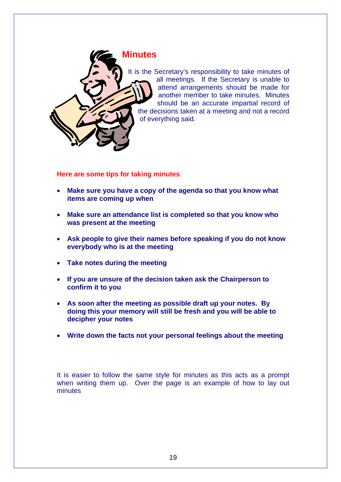

It is the Secretary's responsibility to take minutes of all meetings. If the Secretary is unable to attend arrangements should be made for another member to take minutes. Minutes should be an accurate impartial record of the decisions taken at a meeting and not a record

**Here are some tips for taking minutes**:

- **Make sure you have a copy of the agenda so that you know what items are coming up when**
- **Make sure an attendance list is completed so that you know who was present at the meeting**
- **Ask people to give their names before speaking if you do not know everybody who is at the meeting**
- **Take notes during the meeting**
- **If you are unsure of the decision taken ask the Chairperson to confirm it to you**
- **As soon after the meeting as possible draft up your notes. By doing this your memory will still be fresh and you will be able to decipher your notes**
- **Write down the facts not your personal feelings about the meeting**

It is easier to follow the same style for minutes as this acts as a prompt when writing them up. Over the page is an example of how to lay out minutes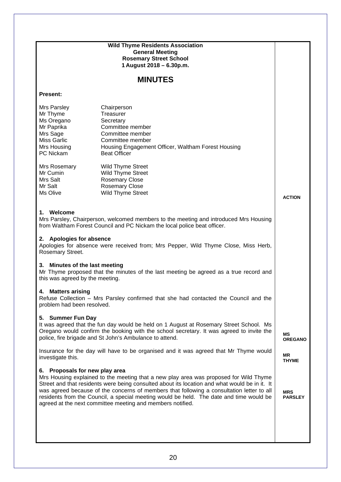|                                                                                                                                                                         | <b>Wild Thyme Residents Association</b>                                                                                                                                            |                      |  |  |  |
|-------------------------------------------------------------------------------------------------------------------------------------------------------------------------|------------------------------------------------------------------------------------------------------------------------------------------------------------------------------------|----------------------|--|--|--|
|                                                                                                                                                                         | <b>General Meeting</b>                                                                                                                                                             |                      |  |  |  |
|                                                                                                                                                                         | <b>Rosemary Street School</b><br>1 August 2018 - 6.30p.m.                                                                                                                          |                      |  |  |  |
|                                                                                                                                                                         |                                                                                                                                                                                    |                      |  |  |  |
|                                                                                                                                                                         | <b>MINUTES</b>                                                                                                                                                                     |                      |  |  |  |
| <b>Present:</b>                                                                                                                                                         |                                                                                                                                                                                    |                      |  |  |  |
| Mrs Parsley                                                                                                                                                             | Chairperson                                                                                                                                                                        |                      |  |  |  |
| Mr Thyme                                                                                                                                                                | Treasurer                                                                                                                                                                          |                      |  |  |  |
| Ms Oregano                                                                                                                                                              | Secretary                                                                                                                                                                          |                      |  |  |  |
| Mr Paprika<br>Mrs Sage                                                                                                                                                  | Committee member<br>Committee member                                                                                                                                               |                      |  |  |  |
| <b>Miss Garlic</b>                                                                                                                                                      | Committee member                                                                                                                                                                   |                      |  |  |  |
| Mrs Housing                                                                                                                                                             | Housing Engagement Officer, Waltham Forest Housing                                                                                                                                 |                      |  |  |  |
| PC Nickam                                                                                                                                                               | <b>Beat Officer</b>                                                                                                                                                                |                      |  |  |  |
|                                                                                                                                                                         |                                                                                                                                                                                    |                      |  |  |  |
| Mrs Rosemary<br>Mr Cumin                                                                                                                                                | <b>Wild Thyme Street</b><br>Wild Thyme Street                                                                                                                                      |                      |  |  |  |
| Mrs Salt                                                                                                                                                                | <b>Rosemary Close</b>                                                                                                                                                              |                      |  |  |  |
| Mr Salt                                                                                                                                                                 | <b>Rosemary Close</b>                                                                                                                                                              |                      |  |  |  |
| Ms Olive                                                                                                                                                                | Wild Thyme Street                                                                                                                                                                  | <b>ACTION</b>        |  |  |  |
|                                                                                                                                                                         |                                                                                                                                                                                    |                      |  |  |  |
| 1. Welcome                                                                                                                                                              |                                                                                                                                                                                    |                      |  |  |  |
|                                                                                                                                                                         | Mrs Parsley, Chairperson, welcomed members to the meeting and introduced Mrs Housing                                                                                               |                      |  |  |  |
|                                                                                                                                                                         | from Waltham Forest Council and PC Nickam the local police beat officer.                                                                                                           |                      |  |  |  |
|                                                                                                                                                                         |                                                                                                                                                                                    |                      |  |  |  |
| 2. Apologies for absence                                                                                                                                                |                                                                                                                                                                                    |                      |  |  |  |
| Apologies for absence were received from; Mrs Pepper, Wild Thyme Close, Miss Herb,<br>Rosemary Street.                                                                  |                                                                                                                                                                                    |                      |  |  |  |
|                                                                                                                                                                         |                                                                                                                                                                                    |                      |  |  |  |
| 3. Minutes of the last meeting                                                                                                                                          |                                                                                                                                                                                    |                      |  |  |  |
| Mr Thyme proposed that the minutes of the last meeting be agreed as a true record and                                                                                   |                                                                                                                                                                                    |                      |  |  |  |
| this was agreed by the meeting.                                                                                                                                         |                                                                                                                                                                                    |                      |  |  |  |
| <b>Matters arising</b><br>4.                                                                                                                                            |                                                                                                                                                                                    |                      |  |  |  |
|                                                                                                                                                                         | Refuse Collection - Mrs Parsley confirmed that she had contacted the Council and the                                                                                               |                      |  |  |  |
| problem had been resolved.                                                                                                                                              |                                                                                                                                                                                    |                      |  |  |  |
|                                                                                                                                                                         |                                                                                                                                                                                    |                      |  |  |  |
| 5. Summer Fun Day                                                                                                                                                       |                                                                                                                                                                                    |                      |  |  |  |
|                                                                                                                                                                         | It was agreed that the fun day would be held on 1 August at Rosemary Street School. Ms<br>Oregano would confirm the booking with the school secretary. It was agreed to invite the |                      |  |  |  |
|                                                                                                                                                                         | police, fire brigade and St John's Ambulance to attend.                                                                                                                            | ΜS<br><b>OREGANO</b> |  |  |  |
|                                                                                                                                                                         |                                                                                                                                                                                    |                      |  |  |  |
|                                                                                                                                                                         | Insurance for the day will have to be organised and it was agreed that Mr Thyme would                                                                                              | ΜR                   |  |  |  |
| investigate this.                                                                                                                                                       |                                                                                                                                                                                    | <b>THYME</b>         |  |  |  |
| Proposals for new play area<br>6.                                                                                                                                       |                                                                                                                                                                                    |                      |  |  |  |
|                                                                                                                                                                         | Mrs Housing explained to the meeting that a new play area was proposed for Wild Thyme                                                                                              |                      |  |  |  |
|                                                                                                                                                                         | Street and that residents were being consulted about its location and what would be in it. It                                                                                      |                      |  |  |  |
|                                                                                                                                                                         | was agreed because of the concerns of members that following a consultation letter to all                                                                                          | <b>MRS</b>           |  |  |  |
| residents from the Council, a special meeting would be held. The date and time would be<br><b>PARSLEY</b><br>agreed at the next committee meeting and members notified. |                                                                                                                                                                                    |                      |  |  |  |
|                                                                                                                                                                         |                                                                                                                                                                                    |                      |  |  |  |
|                                                                                                                                                                         |                                                                                                                                                                                    |                      |  |  |  |
|                                                                                                                                                                         |                                                                                                                                                                                    |                      |  |  |  |
|                                                                                                                                                                         |                                                                                                                                                                                    |                      |  |  |  |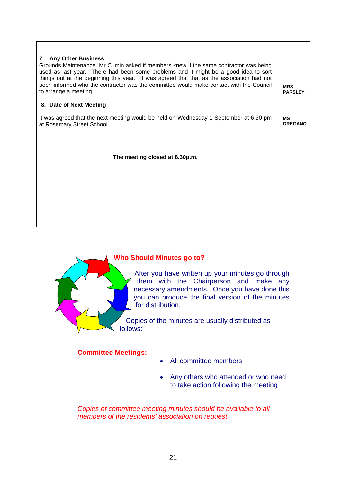| 7. Any Other Business<br>Grounds Maintenance. Mr Cumin asked if members knew if the same contractor was being<br>used as last year. There had been some problems and it might be a good idea to sort<br>things out at the beginning this year. It was agreed that that as the association had not<br>been informed who the contractor was the committee would make contact with the Council<br>to arrange a meeting. | <b>MRS</b><br><b>PARSLEY</b> |
|----------------------------------------------------------------------------------------------------------------------------------------------------------------------------------------------------------------------------------------------------------------------------------------------------------------------------------------------------------------------------------------------------------------------|------------------------------|
| 8. Date of Next Meeting                                                                                                                                                                                                                                                                                                                                                                                              |                              |
| It was agreed that the next meeting would be held on Wednesday 1 September at 6.30 pm<br>at Rosemary Street School.                                                                                                                                                                                                                                                                                                  | МS<br><b>OREGANO</b>         |
| The meeting closed at 8.30p.m.                                                                                                                                                                                                                                                                                                                                                                                       |                              |
|                                                                                                                                                                                                                                                                                                                                                                                                                      |                              |



## **Who Should Minutes go to?**

After you have written up your minutes go through them with the Chairperson and make any necessary amendments. Once you have done this you can produce the final version of the minutes for distribution.

Copies of the minutes are usually distributed as follows:

## **Committee Meetings:**

- All committee members
- Any others who attended or who need to take action following the meeting

*Copies of committee meeting minutes should be available to all members of the residents' association on request.*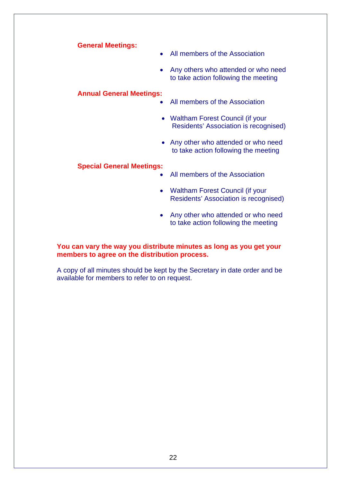**General Meetings:**

- All members of the Association
- Any others who attended or who need to take action following the meeting

### **Annual General Meetings:**

- All members of the Association
- Waltham Forest Council (if your Residents' Association is recognised)
- Any other who attended or who need to take action following the meeting

#### **Special General Meetings:**

- All members of the Association
- Waltham Forest Council (if your Residents' Association is recognised)
- Any other who attended or who need to take action following the meeting

### **You can vary the way you distribute minutes as long as you get your members to agree on the distribution process.**

A copy of all minutes should be kept by the Secretary in date order and be available for members to refer to on request.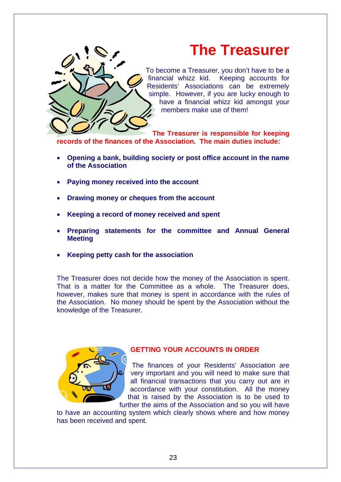

## **The Treasurer**

To become a Treasurer, you don't have to be a<br>financial whizz kid. Keeping accounts for Keeping accounts for Residents' Associations can be extremely simple. However, if you are lucky enough to have a financial whizz kid amongst your members make use of them!

**The Treasurer is responsible for keeping records of the finances of the Association. The main duties include:**

- **Opening a bank, building society or post office account in the name of the Association**
- **Paying money received into the account**
- **Drawing money or cheques from the account**
- **Keeping a record of money received and spent**
- **Preparing statements for the committee and Annual General Meeting**
- **Keeping petty cash for the association**

The Treasurer does not decide how the money of the Association is spent. That is a matter for the Committee as a whole. The Treasurer does, however, makes sure that money is spent in accordance with the rules of the Association. No money should be spent by the Association without the knowledge of the Treasurer.



## **GETTING YOUR ACCOUNTS IN ORDER**

The finances of your Residents' Association are very important and you will need to make sure that all financial transactions that you carry out are in accordance with your constitution. All the money that is raised by the Association is to be used to further the aims of the Association and so you will have

to have an accounting system which clearly shows where and how money has been received and spent.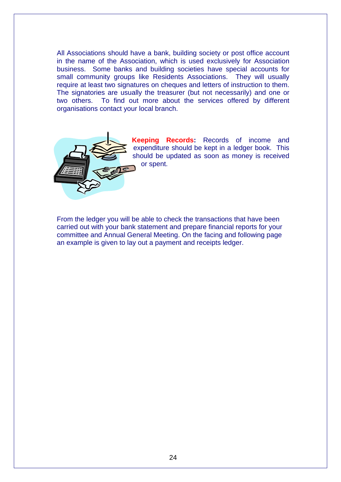All Associations should have a bank, building society or post office account in the name of the Association, which is used exclusively for Association business. Some banks and building societies have special accounts for small community groups like Residents Associations. They will usually small community groups like Residents Associations. require at least two signatures on cheques and letters of instruction to them. The signatories are usually the treasurer (but not necessarily) and one or two others. To find out more about the services offered by different To find out more about the services offered by different organisations contact your local branch.



**Keeping Records:** Records of income and expenditure should be kept in a ledger book. This should be updated as soon as money is received or spent.

From the ledger you will be able to check the transactions that have been carried out with your bank statement and prepare financial reports for your committee and Annual General Meeting. On the facing and following page an example is given to lay out a payment and receipts ledger.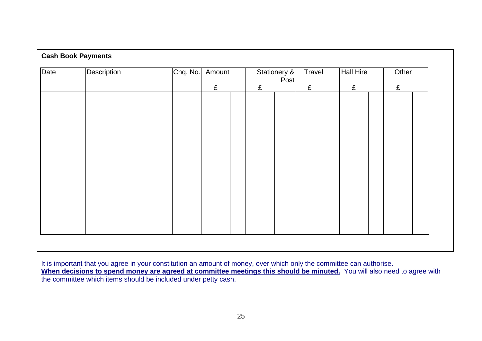| Date | Description | Chq. No. | Amount | Stationery &<br>Post | Travel    | Hall Hire | Other |
|------|-------------|----------|--------|----------------------|-----------|-----------|-------|
|      |             |          | £      | £                    | $\pounds$ | £         | £     |
|      |             |          |        |                      |           |           |       |
|      |             |          |        |                      |           |           |       |
|      |             |          |        |                      |           |           |       |
|      |             |          |        |                      |           |           |       |
|      |             |          |        |                      |           |           |       |
|      |             |          |        |                      |           |           |       |
|      |             |          |        |                      |           |           |       |
|      |             |          |        |                      |           |           |       |
|      |             |          |        |                      |           |           |       |
|      |             |          |        |                      |           |           |       |
|      |             |          |        |                      |           |           |       |
|      |             |          |        |                      |           |           |       |
|      |             |          |        |                      |           |           |       |
|      |             |          |        |                      |           |           |       |
|      |             |          |        |                      |           |           |       |

It is important that you agree in your constitution an amount of money, over which only the committee can authorise. **When decisions to spend money are agreed at committee meetings this should be minuted.** You will also need to agree with the committee which items should be included under petty cash.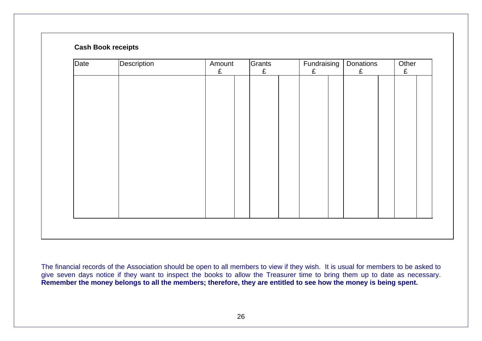## **Cash Book receipts**

| Date | Description | Amount<br>£ | Grants<br>£ | Fundraising<br>£ | Donations<br>£ | Other<br>£ |  |
|------|-------------|-------------|-------------|------------------|----------------|------------|--|
|      |             |             |             |                  |                |            |  |
|      |             |             |             |                  |                |            |  |
|      |             |             |             |                  |                |            |  |
|      |             |             |             |                  |                |            |  |
|      |             |             |             |                  |                |            |  |
|      |             |             |             |                  |                |            |  |
|      |             |             |             |                  |                |            |  |
|      |             |             |             |                  |                |            |  |
|      |             |             |             |                  |                |            |  |
|      |             |             |             |                  |                |            |  |
|      |             |             |             |                  |                |            |  |

The financial records of the Association should be open to all members to view if they wish. It is usual for members to be asked to give seven days notice if they want to inspect the books to allow the Treasurer time to bring them up to date as necessary. **Remember the money belongs to all the members; therefore, they are entitled to see how the money is being spent.**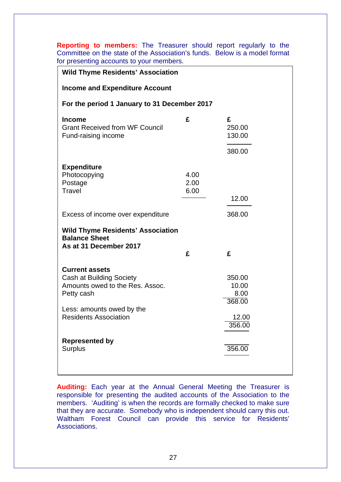**Reporting to members:** The Treasurer should report regularly to the Committee on the state of the Association's funds. Below is a model format for presenting accounts to your members.

| <b>Wild Thyme Residents' Association</b>                                                                  |                      |                                   |  |  |  |
|-----------------------------------------------------------------------------------------------------------|----------------------|-----------------------------------|--|--|--|
| <b>Income and Expenditure Account</b>                                                                     |                      |                                   |  |  |  |
| For the period 1 January to 31 December 2017                                                              |                      |                                   |  |  |  |
| <b>Income</b><br><b>Grant Received from WF Council</b><br>Fund-raising income                             | £                    | £<br>250.00<br>130.00<br>380.00   |  |  |  |
| <b>Expenditure</b><br>Photocopying<br>Postage<br>Travel                                                   | 4.00<br>2.00<br>6.00 | 12.00                             |  |  |  |
| Excess of income over expenditure                                                                         |                      | 368.00                            |  |  |  |
| <b>Wild Thyme Residents' Association</b><br><b>Balance Sheet</b><br>As at 31 December 2017                | £                    | £                                 |  |  |  |
|                                                                                                           |                      |                                   |  |  |  |
| <b>Current assets</b><br><b>Cash at Building Society</b><br>Amounts owed to the Res. Assoc.<br>Petty cash |                      | 350.00<br>10.00<br>8.00<br>368.00 |  |  |  |
| Less: amounts owed by the<br><b>Residents Association</b>                                                 |                      | 12.00<br>356.00                   |  |  |  |
| <b>Represented by</b><br><b>Surplus</b>                                                                   |                      | 356.00                            |  |  |  |

**Auditing:** Each year at the Annual General Meeting the Treasurer is responsible for presenting the audited accounts of the Association to the members. 'Auditing' is when the records are formally checked to make sure that they are accurate. Somebody who is independent should carry this out. Waltham Forest Council can provide this service for Residents' Associations.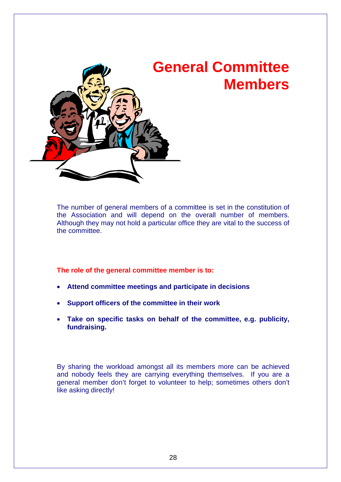

The number of general members of a committee is set in the constitution of the Association and will depend on the overall number of members. Although they may not hold a particular office they are vital to the success of the committee.

**The role of the general committee member is to:**

- **Attend committee meetings and participate in decisions**
- **Support officers of the committee in their work**
- **Take on specific tasks on behalf of the committee, e.g. publicity, fundraising.**

By sharing the workload amongst all its members more can be achieved and nobody feels they are carrying everything themselves. If you are a general member don't forget to volunteer to help; sometimes others don't like asking directly!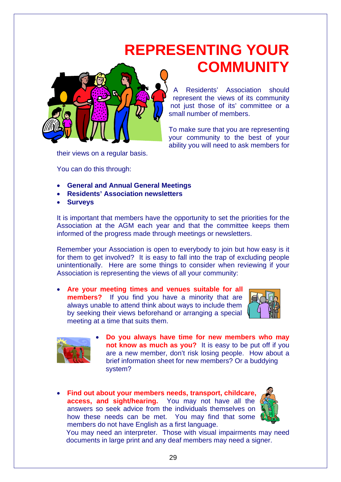## **REPRESENTING YOUR COMMUNITY**



Residents' Association should represent the views of its community not just those of its' committee or a small number of members.

To make sure that you are representing your community to the best of your ability you will need to ask members for

their views on a regular basis.

You can do this through:

- **General and Annual General Meetings**
- **Residents' Association newsletters**
- **Surveys**

It is important that members have the opportunity to set the priorities for the Association at the AGM each year and that the committee keeps them informed of the progress made through meetings or newsletters.

Remember your Association is open to everybody to join but how easy is it for them to get involved? It is easy to fall into the trap of excluding people unintentionally. Here are some things to consider when reviewing if your Association is representing the views of all your community:

• **Are your meeting times and venues suitable for all members?** If you find you have a minority that are always unable to attend think about ways to include them by seeking their views beforehand or arranging a special meeting at a time that suits them.





- **Do you always have time for new members who may not know as much as you?** It is easy to be put off if you are a new member, don't risk losing people. How about a brief information sheet for new members? Or a buddying system?
- **Find out about your members needs, transport, childcare, access, and sight/hearing.** You may not have all the answers so seek advice from the individuals themselves on how these needs can be met. You may find that some members do not have English as a first language.



You may need an interpreter. Those with visual impairments may need documents in large print and any deaf members may need a signer.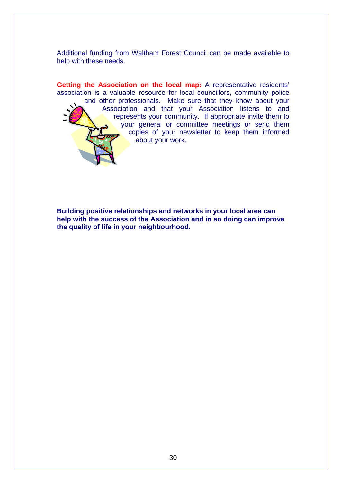Additional funding from Waltham Forest Council can be made available to help with these needs.

**Getting the Association on the local map:** A representative residents' association is a valuable resource for local councillors, community police and other professionals. Make sure that they know about your Association and that your Association listens to and represents your community. If appropriate invite them to your general or committee meetings or send them copies of your newsletter to keep them informed about your work.

**Building positive relationships and networks in your local area can help with the success of the Association and in so doing can improve the quality of life in your neighbourhood.**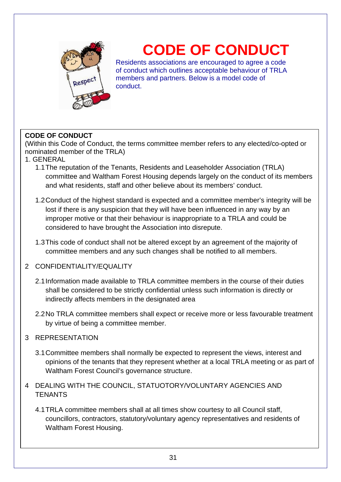

# **CODE OF CONDUCT**

Residents associations are encouraged to agree a code of conduct which outlines acceptable behaviour of TRLA members and partners. Below is a model code of conduct.

## **CODE OF CONDUCT**

(Within this Code of Conduct, the terms committee member refers to any elected/co-opted or nominated member of the TRLA)

- 1. GENERAL
	- 1.1The reputation of the Tenants, Residents and Leaseholder Association (TRLA) committee and Waltham Forest Housing depends largely on the conduct of its members and what residents, staff and other believe about its members' conduct.
	- 1.2Conduct of the highest standard is expected and a committee member's integrity will be lost if there is any suspicion that they will have been influenced in any way by an improper motive or that their behaviour is inappropriate to a TRLA and could be considered to have brought the Association into disrepute.
	- 1.3This code of conduct shall not be altered except by an agreement of the majority of committee members and any such changes shall be notified to all members.

## 2 CONFIDENTIALITY/EQUALITY

- 2.1Information made available to TRLA committee members in the course of their duties shall be considered to be strictly confidential unless such information is directly or indirectly affects members in the designated area
- 2.2No TRLA committee members shall expect or receive more or less favourable treatment by virtue of being a committee member.

## 3 REPRESENTATION

- 3.1Committee members shall normally be expected to represent the views, interest and opinions of the tenants that they represent whether at a local TRLA meeting or as part of Waltham Forest Council's governance structure.
- 4 DEALING WITH THE COUNCIL, STATUOTORY/VOLUNTARY AGENCIES AND **TENANTS** 
	- 4.1TRLA committee members shall at all times show courtesy to all Council staff, councillors, contractors, statutory/voluntary agency representatives and residents of Waltham Forest Housing.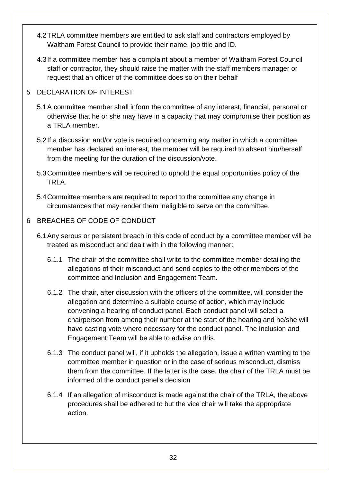- 4.2TRLA committee members are entitled to ask staff and contractors employed by Waltham Forest Council to provide their name, job title and ID.
- 4.3If a committee member has a complaint about a member of Waltham Forest Council staff or contractor, they should raise the matter with the staff members manager or request that an officer of the committee does so on their behalf

## 5 DECLARATION OF INTEREST

- 5.1A committee member shall inform the committee of any interest, financial, personal or otherwise that he or she may have in a capacity that may compromise their position as a TRLA member.
- 5.2If a discussion and/or vote is required concerning any matter in which a committee member has declared an interest, the member will be required to absent him/herself from the meeting for the duration of the discussion/vote.
- 5.3Committee members will be required to uphold the equal opportunities policy of the TRLA.
- 5.4Committee members are required to report to the committee any change in circumstances that may render them ineligible to serve on the committee.

## 6 BREACHES OF CODE OF CONDUCT

- 6.1Any serous or persistent breach in this code of conduct by a committee member will be treated as misconduct and dealt with in the following manner:
	- 6.1.1 The chair of the committee shall write to the committee member detailing the allegations of their misconduct and send copies to the other members of the committee and Inclusion and Engagement Team.
	- 6.1.2 The chair, after discussion with the officers of the committee, will consider the allegation and determine a suitable course of action, which may include convening a hearing of conduct panel. Each conduct panel will select a chairperson from among their number at the start of the hearing and he/she will have casting vote where necessary for the conduct panel. The Inclusion and Engagement Team will be able to advise on this.
	- 6.1.3 The conduct panel will, if it upholds the allegation, issue a written warning to the committee member in question or in the case of serious misconduct, dismiss them from the committee. If the latter is the case, the chair of the TRLA must be informed of the conduct panel's decision
	- 6.1.4 If an allegation of misconduct is made against the chair of the TRLA, the above procedures shall be adhered to but the vice chair will take the appropriate action.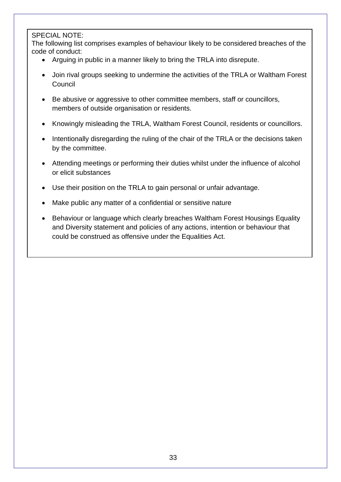## SPECIAL NOTE:

The following list comprises examples of behaviour likely to be considered breaches of the code of conduct:

- Arguing in public in a manner likely to bring the TRLA into disrepute.
- Join rival groups seeking to undermine the activities of the TRLA or Waltham Forest Council
- Be abusive or aggressive to other committee members, staff or councillors, members of outside organisation or residents.
- Knowingly misleading the TRLA, Waltham Forest Council, residents or councillors.
- Intentionally disregarding the ruling of the chair of the TRLA or the decisions taken by the committee.
- Attending meetings or performing their duties whilst under the influence of alcohol or elicit substances
- Use their position on the TRLA to gain personal or unfair advantage.
- Make public any matter of a confidential or sensitive nature
- Behaviour or language which clearly breaches Waltham Forest Housings Equality and Diversity statement and policies of any actions, intention or behaviour that could be construed as offensive under the Equalities Act.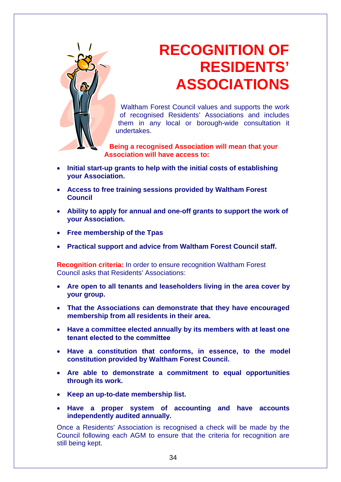

## **RECOGNITION OF RESIDENTS' ASSOCIATIONS**

Waltham Forest Council values and supports the work of recognised Residents' Associations and includes them in any local or borough-wide consultation it undertakes.

**Being a recognised Association will mean that your Association will have access to:**

- **Initial start-up grants to help with the initial costs of establishing your Association.**
- **Access to free training sessions provided by Waltham Forest Council**
- **Ability to apply for annual and one-off grants to support the work of your Association.**
- **Free membership of the Tpas**
- **Practical support and advice from Waltham Forest Council staff.**

**Recognition criteria:** In order to ensure recognition Waltham Forest Council asks that Residents' Associations:

- **Are open to all tenants and leaseholders living in the area cover by your group.**
- **That the Associations can demonstrate that they have encouraged membership from all residents in their area.**
- **Have a committee elected annually by its members with at least one tenant elected to the committee**
- **Have a constitution that conforms, in essence, to the model constitution provided by Waltham Forest Council.**
- **Are able to demonstrate a commitment to equal opportunities through its work.**
- **Keep an up-to-date membership list.**
- **Have a proper system of accounting and have accounts independently audited annually.**

Once a Residents' Association is recognised a check will be made by the Council following each AGM to ensure that the criteria for recognition are still being kept.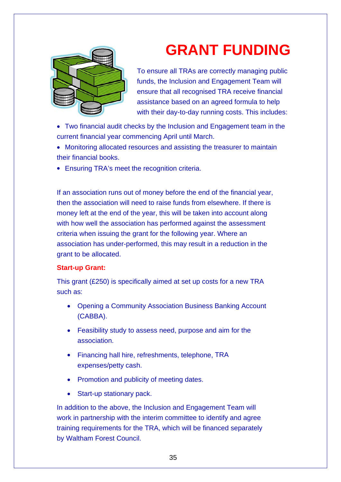

# **GRANT FUNDING**

To ensure all TRAs are correctly managing public funds, the Inclusion and Engagement Team will ensure that all recognised TRA receive financial assistance based on an agreed formula to help with their day-to-day running costs. This includes:

- Two financial audit checks by the Inclusion and Engagement team in the current financial year commencing April until March.
- Monitoring allocated resources and assisting the treasurer to maintain their financial books.
- Ensuring TRA's meet the recognition criteria.

If an association runs out of money before the end of the financial year, then the association will need to raise funds from elsewhere. If there is money left at the end of the year, this will be taken into account along with how well the association has performed against the assessment criteria when issuing the grant for the following year. Where an association has under-performed, this may result in a reduction in the grant to be allocated.

### **Start-up Grant:**

This grant (£250) is specifically aimed at set up costs for a new TRA such as:

- Opening a Community Association Business Banking Account (CABBA).
- Feasibility study to assess need, purpose and aim for the association.
- Financing hall hire, refreshments, telephone, TRA expenses/petty cash.
- Promotion and publicity of meeting dates.
- Start-up stationary pack.

In addition to the above, the Inclusion and Engagement Team will work in partnership with the interim committee to identify and agree training requirements for the TRA, which will be financed separately by Waltham Forest Council.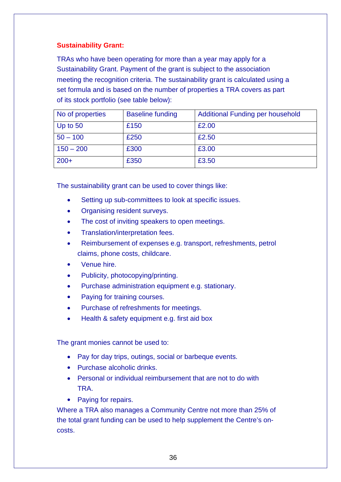## **Sustainability Grant:**

TRAs who have been operating for more than a year may apply for a Sustainability Grant. Payment of the grant is subject to the association meeting the recognition criteria. The sustainability grant is calculated using a set formula and is based on the number of properties a TRA covers as part of its stock portfolio (see table below):

| No of properties | <b>Baseline funding</b> | <b>Additional Funding per household</b> |
|------------------|-------------------------|-----------------------------------------|
| Up to 50         | £150                    | £2.00                                   |
| $50 - 100$       | £250                    | £2.50                                   |
| $150 - 200$      | £300                    | £3.00                                   |
| $200+$           | £350                    | £3.50                                   |

The sustainability grant can be used to cover things like:

- Setting up sub-committees to look at specific issues.
- Organising resident surveys.
- The cost of inviting speakers to open meetings.
- Translation/interpretation fees.
- Reimbursement of expenses e.g. transport, refreshments, petrol claims, phone costs, childcare.
- Venue hire.
- Publicity, photocopying/printing.
- Purchase administration equipment e.g. stationary.
- Paying for training courses.
- Purchase of refreshments for meetings.
- Health & safety equipment e.g. first aid box

The grant monies cannot be used to:

- Pay for day trips, outings, social or barbeque events.
- Purchase alcoholic drinks.
- Personal or individual reimbursement that are not to do with TRA.
- Paying for repairs.

Where a TRA also manages a Community Centre not more than 25% of the total grant funding can be used to help supplement the Centre's oncosts.